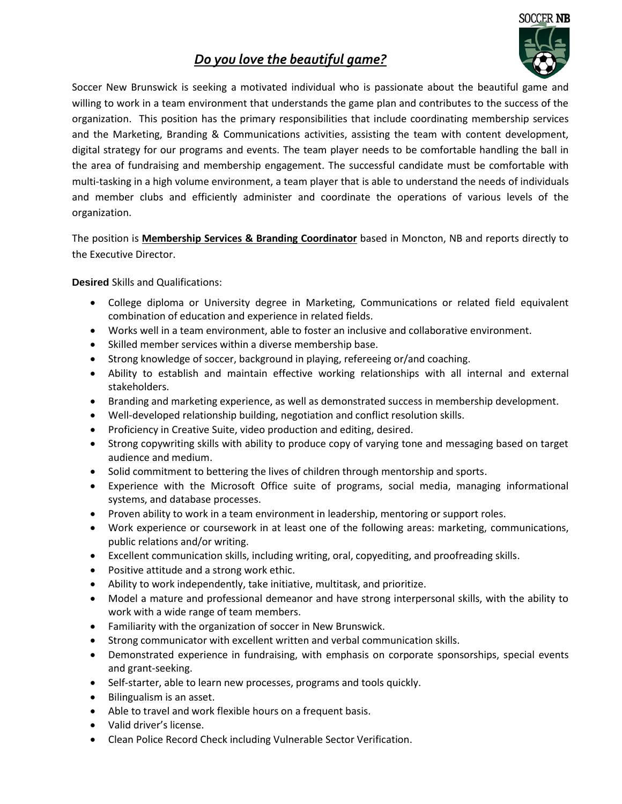## *Do you love the beautiful game?*



Soccer New Brunswick is seeking a motivated individual who is passionate about the beautiful game and willing to work in a team environment that understands the game plan and contributes to the success of the organization. This position has the primary responsibilities that include coordinating membership services and the Marketing, Branding & Communications activities, assisting the team with content development, digital strategy for our programs and events. The team player needs to be comfortable handling the ball in the area of fundraising and membership engagement. The successful candidate must be comfortable with multi-tasking in a high volume environment, a team player that is able to understand the needs of individuals and member clubs and efficiently administer and coordinate the operations of various levels of the organization.

The position is **Membership Services & Branding Coordinator** based in Moncton, NB and reports directly to the Executive Director.

## **Desired** Skills and Qualifications:

- College diploma or University degree in Marketing, Communications or related field equivalent combination of education and experience in related fields.
- Works well in a team environment, able to foster an inclusive and collaborative environment.
- Skilled member services within a diverse membership base.
- Strong knowledge of soccer, background in playing, refereeing or/and coaching.
- Ability to establish and maintain effective working relationships with all internal and external stakeholders.
- Branding and marketing experience, as well as demonstrated success in membership development.
- Well-developed relationship building, negotiation and conflict resolution skills.
- Proficiency in Creative Suite, video production and editing, desired.
- Strong copywriting skills with ability to produce copy of varying tone and messaging based on target audience and medium.
- Solid commitment to bettering the lives of children through mentorship and sports.
- Experience with the Microsoft Office suite of programs, social media, managing informational systems, and database processes.
- Proven ability to work in a team environment in leadership, mentoring or support roles.
- Work experience or coursework in at least one of the following areas: marketing, communications, public relations and/or writing.
- Excellent communication skills, including writing, oral, copyediting, and proofreading skills.
- Positive attitude and a strong work ethic.
- Ability to work independently, take initiative, multitask, and prioritize.
- Model a mature and professional demeanor and have strong interpersonal skills, with the ability to work with a wide range of team members.
- Familiarity with the organization of soccer in New Brunswick.
- Strong communicator with excellent written and verbal communication skills.
- Demonstrated experience in fundraising, with emphasis on corporate sponsorships, special events and grant-seeking.
- Self-starter, able to learn new processes, programs and tools quickly.
- Bilingualism is an asset.
- Able to travel and work flexible hours on a frequent basis.
- Valid driver's license.
- Clean Police Record Check including Vulnerable Sector Verification.